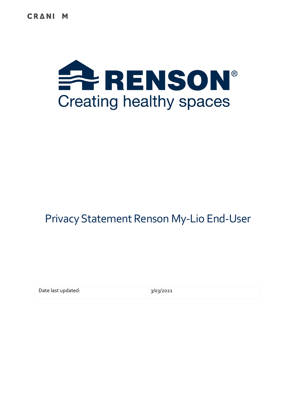**CRANI** M



# Privacy Statement Renson My-Lio End-User

| Date last updated: | 3/03/2021 |
|--------------------|-----------|
|--------------------|-----------|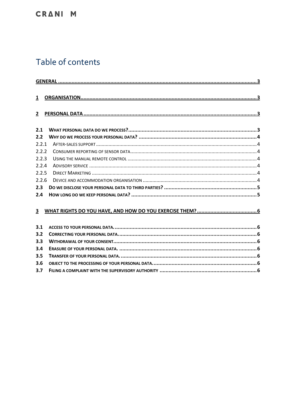# Table of contents

| $\overline{2}$ |  |
|----------------|--|
| 2.1            |  |
| 2.2            |  |
| 2.2.1          |  |
| 2.2.2          |  |
| 2.2.3          |  |
| 2.2.4          |  |
| 2.2.5          |  |
| 2.2.6          |  |
| 2.3            |  |
| 2.4            |  |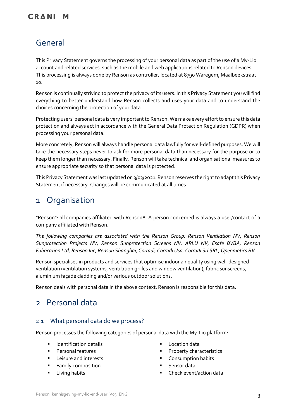# <span id="page-2-0"></span>General

This Privacy Statement governs the processing of your personal data as part of the use of a My-Lio account and related services, such as the mobile and web applications related to Renson devices. This processing is always done by Renson as controller, located at 8790 Waregem, Maalbeekstraat 10.

Renson is continually striving to protect the privacy of its users. In this Privacy Statement you will find everything to better understand how Renson collects and uses your data and to understand the choices concerning the protection of your data.

Protecting users' personal data is very important to Renson. We make every effort to ensure this data protection and always act in accordance with the General Data Protection Regulation (GDPR) when processing your personal data.

More concretely, Renson will always handle personal data lawfully for well-defined purposes. We will take the necessary steps never to ask for more personal data than necessary for the purpose or to keep them longer than necessary. Finally, Renson will take technical and organisational measures to ensure appropriate security so that personal data is protected.

This Privacy Statement was last updated on 3/03/2021. Renson reserves the right to adapt this Privacy Statement if necessary. Changes will be communicated at all times.

# <span id="page-2-1"></span>1 Organisation

"Renson": all companies affiliated with Renson\*. A person concerned is always a user/contact of a company affiliated with Renson.

*The following companies are associated with the Renson Group: Renson Ventilation NV, Renson Sunprotection Projects NV, Renson Sunprotection Screens NV, ARLU NV, Esafe BVBA, Renson Fabrication Ltd, Renson Inc, Renson Shanghai, Corradi, Corradi Usa, Corradi Srl SRL, Openmotics BV.*

Renson specialises in products and services that optimise indoor air quality using well-designed ventilation (ventilation systems, ventilation grilles and window ventilation), fabric sunscreens, aluminium façade cladding and/or various outdoor solutions.

Renson deals with personal data in the above context. Renson is responsible for this data.

# <span id="page-2-2"></span>2 Personal data

### <span id="page-2-3"></span>2.1 What personal data do we process?

Renson processes the following categories of personal data with the My-Lio platform:

- Identification details
- **Personal features**
- Leisure and interests
- Family composition
- **■** Living habits
- **Location data**
- Property characteristics
- Consumption habits
- Sensor data
- Check event/action data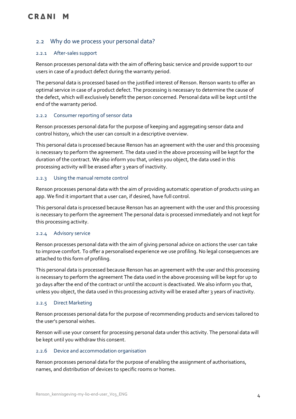## <span id="page-3-0"></span>2.2 Why do we process your personal data?

#### <span id="page-3-1"></span>2.2.1 After-sales support

Renson processes personal data with the aim of offering basic service and provide support to our users in case of a product defect during the warranty period.

The personal data is processed based on the justified interest of Renson. Renson wants to offer an optimal service in case of a product defect. The processing is necessary to determine the cause of the defect, which will exclusively benefit the person concerned. Personal data will be kept until the end of the warranty period.

#### <span id="page-3-2"></span>2.2.2 Consumer reporting of sensor data

Renson processes personal data for the purpose of keeping and aggregating sensor data and control history, which the user can consult in a descriptive overview.

This personal data is processed because Renson has an agreement with the user and this processing is necessary to perform the agreement. The data used in the above processing will be kept for the duration of the contract. We also inform you that, unless you object, the data used in this processing activity will be erased after 3 years of inactivity.

#### <span id="page-3-3"></span>2.2.3 Using the manual remote control

Renson processes personal data with the aim of providing automatic operation of products using an app. We find it important that a user can, if desired, have full control.

This personal data is processed because Renson has an agreement with the user and this processing is necessary to perform the agreement The personal data is processed immediately and not kept for this processing activity.

#### <span id="page-3-4"></span>2.2.4 Advisory service

Renson processes personal data with the aim of giving personal advice on actions the user can take to improve comfort. To offer a personalised experience we use profiling. No legal consequences are attached to this form of profiling.

This personal data is processed because Renson has an agreement with the user and this processing is necessary to perform the agreement The data used in the above processing will be kept for up to 30 days after the end of the contract or until the account is deactivated. We also inform you that, unless you object, the data used in this processing activity will be erased after 3 years of inactivity.

#### <span id="page-3-5"></span>2.2.5 Direct Marketing

Renson processes personal data for the purpose of recommending products and services tailored to the user's personal wishes.

Renson will use your consent for processing personal data under this activity. The personal data will be kept until you withdraw this consent.

#### <span id="page-3-6"></span>2.2.6 Device and accommodation organisation

Renson processes personal data for the purpose of enabling the assignment of authorisations, names, and distribution of devices to specific rooms or homes.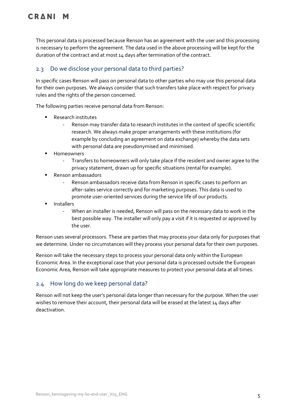This personal data is processed because Renson has an agreement with the user and this processing is necessary to perform the agreement. The data used in the above processing will be kept for the duration of the contract and at most 14 days after termination of the contract.

# <span id="page-4-0"></span>2.3 Do we disclose your personal data to third parties?

In specific cases Renson will pass on personal data to other parties who may use this personal data for their own purposes. We always consider that such transfers take place with respect for privacy rules and the rights of the person concerned.

The following parties receive personal data from Renson:

- Research institutes
	- Renson may transfer data to research institutes in the context of specific scientific research. We always make proper arrangements with these institutions (for example by concluding an agreement on data exchange) whereby the data sets with personal data are pseudonymised and minimised.
- Homeowners
	- Transfers to homeowners will only take place if the resident and owner agree to the privacy statement, drawn up for specific situations (rental for example).
- Renson ambassadors
	- Renson ambassadors receive data from Renson in specific cases to perform an after-sales service correctly and for marketing purposes. This data is used to promote user-oriented services during the service life of our products.
- **Installers** 
	- When an installer is needed, Renson will pass on the necessary data to work in the best possible way. The installer will only pay a visit if it is requested or approved by the user.

Renson uses several processors. These are parties that may process your data only for purposes that we determine. Under no circumstances will they process your personal data for their own purposes.

Renson will take the necessary steps to process your personal data only within the European Economic Area. In the exceptional case that your personal data is processed outside the European Economic Area, Renson will take appropriate measures to protect your personal data at all times.

### <span id="page-4-1"></span>2.4 How long do we keep personal data?

Renson will not keep the user's personal data longer than necessary for the purpose. When the user wishes to remove their account, their personal data will be erased at the latest 14 days after deactivation.